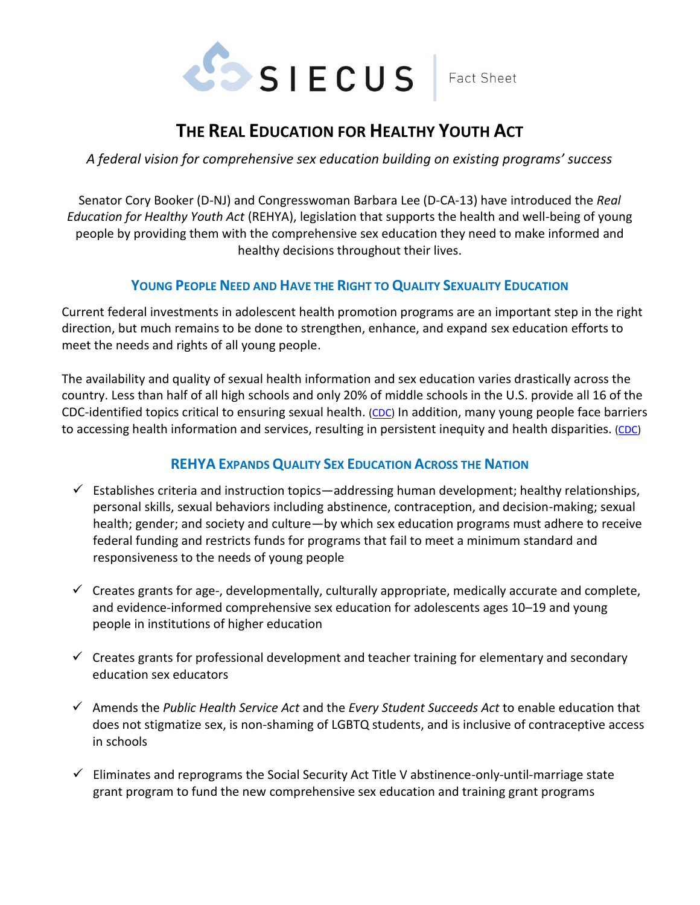

## Fact Sheet

# **THE REAL EDUCATION FOR HEALTHY YOUTH ACT**

*A federal vision for comprehensive sex education building on existing programs' success*

Senator Cory Booker (D-NJ) and Congresswoman Barbara Lee (D-CA-13) have introduced the *Real Education for Healthy Youth Act* (REHYA), legislation that supports the health and well-being of young people by providing them with the comprehensive sex education they need to make informed and healthy decisions throughout their lives.

### **YOUNG PEOPLE NEED AND HAVE THE RIGHT TO QUALITY SEXUALITY EDUCATION**

Current federal investments in adolescent health promotion programs are an important step in the right direction, but much remains to be done to strengthen, enhance, and expand sex education efforts to meet the needs and rights of all young people.

The availability and quality of sexual health information and sex education varies drastically across the country. Less than half of all high schools and only 20% of middle schools in the U.S. provide all 16 of the CDC-identified topics critical to ensuring sexual health. [\(CDC\)](http://www.cdc.gov/healthyyouth/data/profiles/results.htm) In addition, many young people face barriers to accessing health information and services, resulting in persistent inequity and health disparities. [\(CDC\)](http://www.cdc.gov/healthyyouth/data/profiles/results.htmwww.cdc.gov/healthyyouth/disparities/)

## **REHYA EXPANDS QUALITY SEX EDUCATION ACROSS THE NATION**

- $\checkmark$  Establishes criteria and instruction topics—addressing human development; healthy relationships, personal skills, sexual behaviors including abstinence, contraception, and decision-making; sexual health; gender; and society and culture—by which sex education programs must adhere to receive federal funding and restricts funds for programs that fail to meet a minimum standard and responsiveness to the needs of young people
- $\checkmark$  Creates grants for age-, developmentally, culturally appropriate, medically accurate and complete, and evidence-informed comprehensive sex education for adolescents ages 10–19 and young people in institutions of higher education
- $\checkmark$  Creates grants for professional development and teacher training for elementary and secondary education sex educators
- ✓ Amends the *Public Health Service Act* and the *Every Student Succeeds Act* to enable education that does not stigmatize sex, is non-shaming of LGBTQ students, and is inclusive of contraceptive access in schools
- $\checkmark$  Eliminates and reprograms the Social Security Act Title V abstinence-only-until-marriage state grant program to fund the new comprehensive sex education and training grant programs